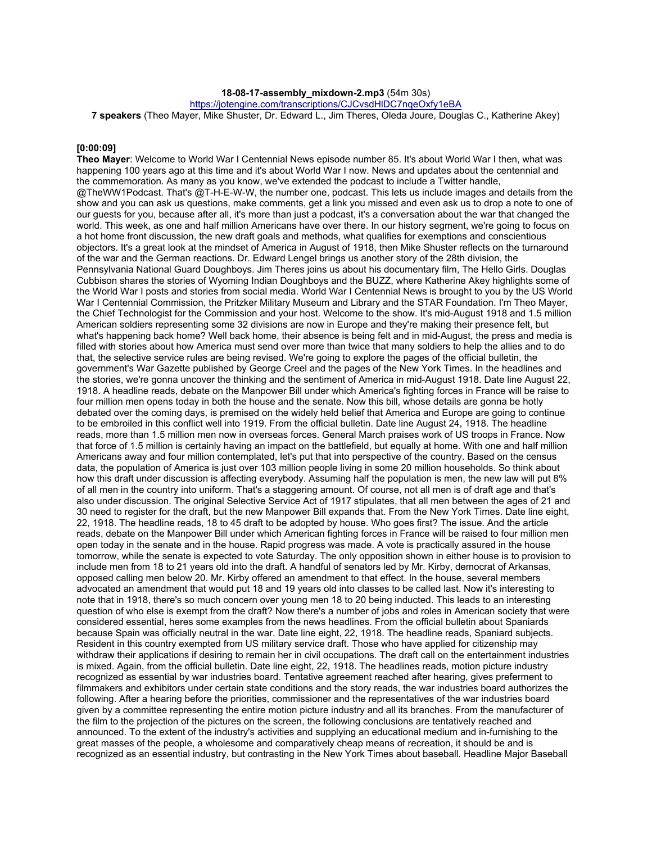### **18-08-17-assembly\_mixdown-2.mp3** (54m 30s)

https://jotengine.com/transcriptions/CJCvsdHlDC7nqeOxfy1eBA

**7 speakers** (Theo Mayer, Mike Shuster, Dr. Edward L., Jim Theres, Oleda Joure, Douglas C., Katherine Akey)

### **[0:00:09]**

**Theo Mayer**: Welcome to World War I Centennial News episode number 85. It's about World War I then, what was happening 100 years ago at this time and it's about World War I now. News and updates about the centennial and the commemoration. As many as you know, we've extended the podcast to include a Twitter handle, @TheWW1Podcast. That's @T-H-E-W-W, the number one, podcast. This lets us include images and details from the show and you can ask us questions, make comments, get a link you missed and even ask us to drop a note to one of our guests for you, because after all, it's more than just a podcast, it's a conversation about the war that changed the world. This week, as one and half million Americans have over there. In our history segment, we're going to focus on a hot home front discussion, the new draft goals and methods, what qualifies for exemptions and conscientious objectors. It's a great look at the mindset of America in August of 1918, then Mike Shuster reflects on the turnaround of the war and the German reactions. Dr. Edward Lengel brings us another story of the 28th division, the Pennsylvania National Guard Doughboys. Jim Theres joins us about his documentary film, The Hello Girls. Douglas Cubbison shares the stories of Wyoming Indian Doughboys and the BUZZ, where Katherine Akey highlights some of the World War I posts and stories from social media. World War I Centennial News is brought to you by the US World War I Centennial Commission, the Pritzker Military Museum and Library and the STAR Foundation. I'm Theo Mayer, the Chief Technologist for the Commission and your host. Welcome to the show. It's mid-August 1918 and 1.5 million American soldiers representing some 32 divisions are now in Europe and they're making their presence felt, but what's happening back home? Well back home, their absence is being felt and in mid-August, the press and media is filled with stories about how America must send over more than twice that many soldiers to help the allies and to do that, the selective service rules are being revised. We're going to explore the pages of the official bulletin, the government's War Gazette published by George Creel and the pages of the New York Times. In the headlines and the stories, we're gonna uncover the thinking and the sentiment of America in mid-August 1918. Date line August 22, 1918. A headline reads, debate on the Manpower Bill under which America's fighting forces in France will be raise to four million men opens today in both the house and the senate. Now this bill, whose details are gonna be hotly debated over the coming days, is premised on the widely held belief that America and Europe are going to continue to be embroiled in this conflict well into 1919. From the official bulletin. Date line August 24, 1918. The headline reads, more than 1.5 million men now in overseas forces. General March praises work of US troops in France. Now that force of 1.5 million is certainly having an impact on the battlefield, but equally at home. With one and half million Americans away and four million contemplated, let's put that into perspective of the country. Based on the census data, the population of America is just over 103 million people living in some 20 million households. So think about how this draft under discussion is affecting everybody. Assuming half the population is men, the new law will put 8% of all men in the country into uniform. That's a staggering amount. Of course, not all men is of draft age and that's also under discussion. The original Selective Service Act of 1917 stipulates, that all men between the ages of 21 and 30 need to register for the draft, but the new Manpower Bill expands that. From the New York Times. Date line eight, 22, 1918. The headline reads, 18 to 45 draft to be adopted by house. Who goes first? The issue. And the article reads, debate on the Manpower Bill under which American fighting forces in France will be raised to four million men open today in the senate and in the house. Rapid progress was made. A vote is practically assured in the house tomorrow, while the senate is expected to vote Saturday. The only opposition shown in either house is to provision to include men from 18 to 21 years old into the draft. A handful of senators led by Mr. Kirby, democrat of Arkansas, opposed calling men below 20. Mr. Kirby offered an amendment to that effect. In the house, several members advocated an amendment that would put 18 and 19 years old into classes to be called last. Now it's interesting to note that in 1918, there's so much concern over young men 18 to 20 being inducted. This leads to an interesting question of who else is exempt from the draft? Now there's a number of jobs and roles in American society that were considered essential, heres some examples from the news headlines. From the official bulletin about Spaniards because Spain was officially neutral in the war. Date line eight, 22, 1918. The headline reads, Spaniard subjects. Resident in this country exempted from US military service draft. Those who have applied for citizenship may withdraw their applications if desiring to remain her in civil occupations. The draft call on the entertainment industries is mixed. Again, from the official bulletin. Date line eight, 22, 1918. The headlines reads, motion picture industry recognized as essential by war industries board. Tentative agreement reached after hearing, gives preferment to filmmakers and exhibitors under certain state conditions and the story reads, the war industries board authorizes the following. After a hearing before the priorities, commissioner and the representatives of the war industries board given by a committee representing the entire motion picture industry and all its branches. From the manufacturer of the film to the projection of the pictures on the screen, the following conclusions are tentatively reached and announced. To the extent of the industry's activities and supplying an educational medium and in-furnishing to the great masses of the people, a wholesome and comparatively cheap means of recreation, it should be and is recognized as an essential industry, but contrasting in the New York Times about baseball. Headline Major Baseball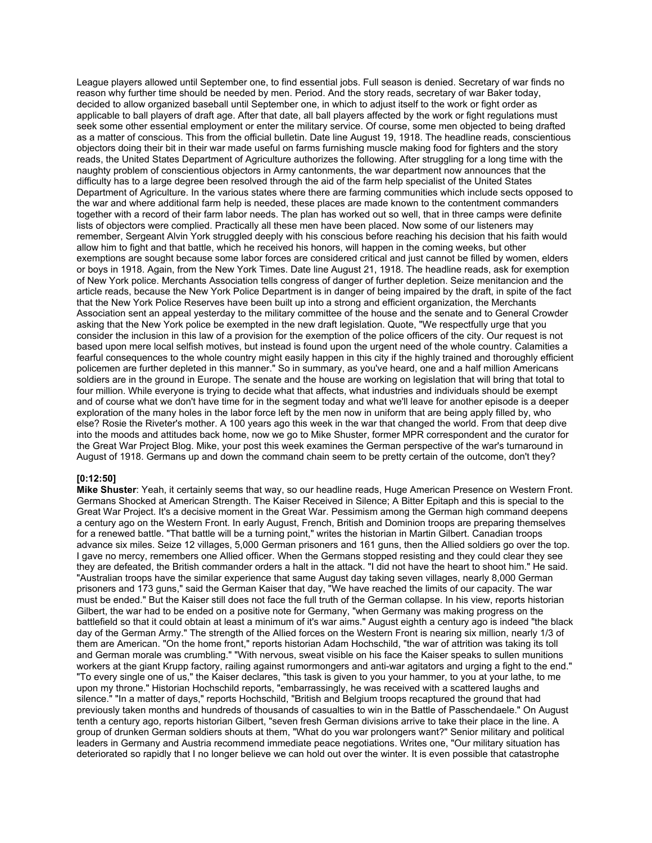League players allowed until September one, to find essential jobs. Full season is denied. Secretary of war finds no reason why further time should be needed by men. Period. And the story reads, secretary of war Baker today, decided to allow organized baseball until September one, in which to adjust itself to the work or fight order as applicable to ball players of draft age. After that date, all ball players affected by the work or fight regulations must seek some other essential employment or enter the military service. Of course, some men objected to being drafted as a matter of conscious. This from the official bulletin. Date line August 19, 1918. The headline reads, conscientious objectors doing their bit in their war made useful on farms furnishing muscle making food for fighters and the story reads, the United States Department of Agriculture authorizes the following. After struggling for a long time with the naughty problem of conscientious objectors in Army cantonments, the war department now announces that the difficulty has to a large degree been resolved through the aid of the farm help specialist of the United States Department of Agriculture. In the various states where there are farming communities which include sects opposed to the war and where additional farm help is needed, these places are made known to the contentment commanders together with a record of their farm labor needs. The plan has worked out so well, that in three camps were definite lists of objectors were complied. Practically all these men have been placed. Now some of our listeners may remember, Sergeant Alvin York struggled deeply with his conscious before reaching his decision that his faith would allow him to fight and that battle, which he received his honors, will happen in the coming weeks, but other exemptions are sought because some labor forces are considered critical and just cannot be filled by women, elders or boys in 1918. Again, from the New York Times. Date line August 21, 1918. The headline reads, ask for exemption of New York police. Merchants Association tells congress of danger of further depletion. Seize menitancion and the article reads, because the New York Police Department is in danger of being impaired by the draft, in spite of the fact that the New York Police Reserves have been built up into a strong and efficient organization, the Merchants Association sent an appeal yesterday to the military committee of the house and the senate and to General Crowder asking that the New York police be exempted in the new draft legislation. Quote, "We respectfully urge that you consider the inclusion in this law of a provision for the exemption of the police officers of the city. Our request is not based upon mere local selfish motives, but instead is found upon the urgent need of the whole country. Calamities a fearful consequences to the whole country might easily happen in this city if the highly trained and thoroughly efficient policemen are further depleted in this manner." So in summary, as you've heard, one and a half million Americans soldiers are in the ground in Europe. The senate and the house are working on legislation that will bring that total to four million. While everyone is trying to decide what that affects, what industries and individuals should be exempt and of course what we don't have time for in the segment today and what we'll leave for another episode is a deeper exploration of the many holes in the labor force left by the men now in uniform that are being apply filled by, who else? Rosie the Riveter's mother. A 100 years ago this week in the war that changed the world. From that deep dive into the moods and attitudes back home, now we go to Mike Shuster, former MPR correspondent and the curator for the Great War Project Blog. Mike, your post this week examines the German perspective of the war's turnaround in August of 1918. Germans up and down the command chain seem to be pretty certain of the outcome, don't they?

# **[0:12:50]**

**Mike Shuster**: Yeah, it certainly seems that way, so our headline reads, Huge American Presence on Western Front. Germans Shocked at American Strength. The Kaiser Received in Silence; A Bitter Epitaph and this is special to the Great War Project. It's a decisive moment in the Great War. Pessimism among the German high command deepens a century ago on the Western Front. In early August, French, British and Dominion troops are preparing themselves for a renewed battle. "That battle will be a turning point," writes the historian in Martin Gilbert. Canadian troops advance six miles. Seize 12 villages, 5,000 German prisoners and 161 guns, then the Allied soldiers go over the top. I gave no mercy, remembers one Allied officer. When the Germans stopped resisting and they could clear they see they are defeated, the British commander orders a halt in the attack. "I did not have the heart to shoot him." He said. "Australian troops have the similar experience that same August day taking seven villages, nearly 8,000 German prisoners and 173 guns," said the German Kaiser that day, "We have reached the limits of our capacity. The war must be ended." But the Kaiser still does not face the full truth of the German collapse. In his view, reports historian Gilbert, the war had to be ended on a positive note for Germany, "when Germany was making progress on the battlefield so that it could obtain at least a minimum of it's war aims." August eighth a century ago is indeed "the black day of the German Army." The strength of the Allied forces on the Western Front is nearing six million, nearly 1/3 of them are American. "On the home front," reports historian Adam Hochschild, "the war of attrition was taking its toll and German morale was crumbling." "With nervous, sweat visible on his face the Kaiser speaks to sullen munitions workers at the giant Krupp factory, railing against rumormongers and anti-war agitators and urging a fight to the end." "To every single one of us," the Kaiser declares, "this task is given to you your hammer, to you at your lathe, to me upon my throne." Historian Hochschild reports, "embarrassingly, he was received with a scattered laughs and silence." "In a matter of days," reports Hochschild, "British and Belgium troops recaptured the ground that had previously taken months and hundreds of thousands of casualties to win in the Battle of Passchendaele." On August tenth a century ago, reports historian Gilbert, "seven fresh German divisions arrive to take their place in the line. A group of drunken German soldiers shouts at them, "What do you war prolongers want?" Senior military and political leaders in Germany and Austria recommend immediate peace negotiations. Writes one, "Our military situation has deteriorated so rapidly that I no longer believe we can hold out over the winter. It is even possible that catastrophe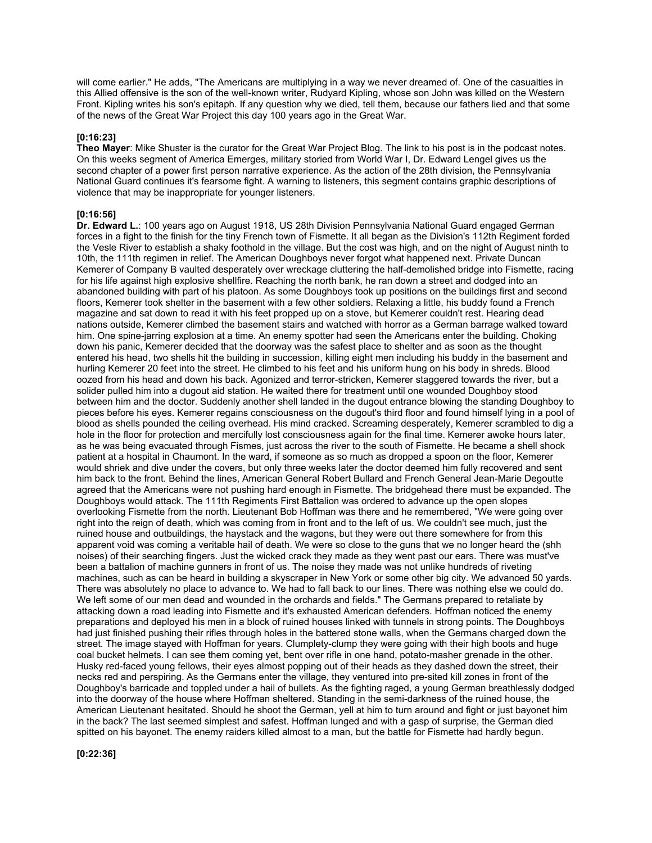will come earlier." He adds, "The Americans are multiplying in a way we never dreamed of. One of the casualties in this Allied offensive is the son of the well-known writer, Rudyard Kipling, whose son John was killed on the Western Front. Kipling writes his son's epitaph. If any question why we died, tell them, because our fathers lied and that some of the news of the Great War Project this day 100 years ago in the Great War.

### **[0:16:23]**

**Theo Mayer**: Mike Shuster is the curator for the Great War Project Blog. The link to his post is in the podcast notes. On this weeks segment of America Emerges, military storied from World War I, Dr. Edward Lengel gives us the second chapter of a power first person narrative experience. As the action of the 28th division, the Pennsylvania National Guard continues it's fearsome fight. A warning to listeners, this segment contains graphic descriptions of violence that may be inappropriate for younger listeners.

## **[0:16:56]**

**Dr. Edward L.**: 100 years ago on August 1918, US 28th Division Pennsylvania National Guard engaged German forces in a fight to the finish for the tiny French town of Fismette. It all began as the Division's 112th Regiment forded the Vesle River to establish a shaky foothold in the village. But the cost was high, and on the night of August ninth to 10th, the 111th regimen in relief. The American Doughboys never forgot what happened next. Private Duncan Kemerer of Company B vaulted desperately over wreckage cluttering the half-demolished bridge into Fismette, racing for his life against high explosive shellfire. Reaching the north bank, he ran down a street and dodged into an abandoned building with part of his platoon. As some Doughboys took up positions on the buildings first and second floors, Kemerer took shelter in the basement with a few other soldiers. Relaxing a little, his buddy found a French magazine and sat down to read it with his feet propped up on a stove, but Kemerer couldn't rest. Hearing dead nations outside, Kemerer climbed the basement stairs and watched with horror as a German barrage walked toward him. One spine-jarring explosion at a time. An enemy spotter had seen the Americans enter the building. Choking down his panic, Kemerer decided that the doorway was the safest place to shelter and as soon as the thought entered his head, two shells hit the building in succession, killing eight men including his buddy in the basement and hurling Kemerer 20 feet into the street. He climbed to his feet and his uniform hung on his body in shreds. Blood oozed from his head and down his back. Agonized and terror-stricken, Kemerer staggered towards the river, but a solider pulled him into a dugout aid station. He waited there for treatment until one wounded Doughboy stood between him and the doctor. Suddenly another shell landed in the dugout entrance blowing the standing Doughboy to pieces before his eyes. Kemerer regains consciousness on the dugout's third floor and found himself lying in a pool of blood as shells pounded the ceiling overhead. His mind cracked. Screaming desperately, Kemerer scrambled to dig a hole in the floor for protection and mercifully lost consciousness again for the final time. Kemerer awoke hours later, as he was being evacuated through Fismes, just across the river to the south of Fismette. He became a shell shock patient at a hospital in Chaumont. In the ward, if someone as so much as dropped a spoon on the floor, Kemerer would shriek and dive under the covers, but only three weeks later the doctor deemed him fully recovered and sent him back to the front. Behind the lines, American General Robert Bullard and French General Jean-Marie Degoutte agreed that the Americans were not pushing hard enough in Fismette. The bridgehead there must be expanded. The Doughboys would attack. The 111th Regiments First Battalion was ordered to advance up the open slopes overlooking Fismette from the north. Lieutenant Bob Hoffman was there and he remembered, "We were going over right into the reign of death, which was coming from in front and to the left of us. We couldn't see much, just the ruined house and outbuildings, the haystack and the wagons, but they were out there somewhere for from this apparent void was coming a veritable hail of death. We were so close to the guns that we no longer heard the (shh noises) of their searching fingers. Just the wicked crack they made as they went past our ears. There was must've been a battalion of machine gunners in front of us. The noise they made was not unlike hundreds of riveting machines, such as can be heard in building a skyscraper in New York or some other big city. We advanced 50 yards. There was absolutely no place to advance to. We had to fall back to our lines. There was nothing else we could do. We left some of our men dead and wounded in the orchards and fields." The Germans prepared to retaliate by attacking down a road leading into Fismette and it's exhausted American defenders. Hoffman noticed the enemy preparations and deployed his men in a block of ruined houses linked with tunnels in strong points. The Doughboys had just finished pushing their rifles through holes in the battered stone walls, when the Germans charged down the street. The image stayed with Hoffman for years. Clumplety-clump they were going with their high boots and huge coal bucket helmets. I can see them coming yet, bent over rifle in one hand, potato-masher grenade in the other. Husky red-faced young fellows, their eyes almost popping out of their heads as they dashed down the street, their necks red and perspiring. As the Germans enter the village, they ventured into pre-sited kill zones in front of the Doughboy's barricade and toppled under a hail of bullets. As the fighting raged, a young German breathlessly dodged into the doorway of the house where Hoffman sheltered. Standing in the semi-darkness of the ruined house, the American Lieutenant hesitated. Should he shoot the German, yell at him to turn around and fight or just bayonet him in the back? The last seemed simplest and safest. Hoffman lunged and with a gasp of surprise, the German died spitted on his bayonet. The enemy raiders killed almost to a man, but the battle for Fismette had hardly begun.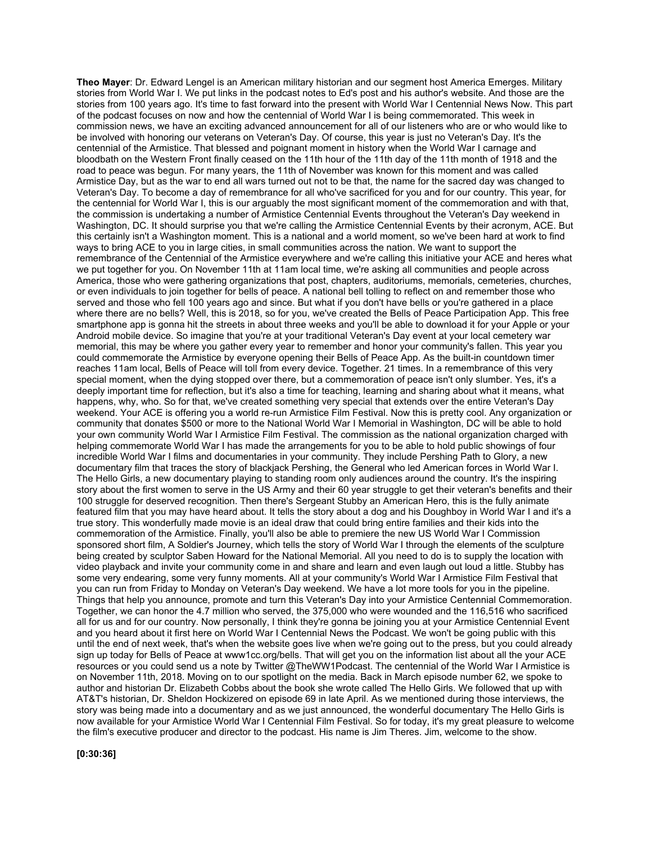**Theo Mayer**: Dr. Edward Lengel is an American military historian and our segment host America Emerges. Military stories from World War I. We put links in the podcast notes to Ed's post and his author's website. And those are the stories from 100 years ago. It's time to fast forward into the present with World War I Centennial News Now. This part of the podcast focuses on now and how the centennial of World War I is being commemorated. This week in commission news, we have an exciting advanced announcement for all of our listeners who are or who would like to be involved with honoring our veterans on Veteran's Day. Of course, this year is just no Veteran's Day. It's the centennial of the Armistice. That blessed and poignant moment in history when the World War I carnage and bloodbath on the Western Front finally ceased on the 11th hour of the 11th day of the 11th month of 1918 and the road to peace was begun. For many years, the 11th of November was known for this moment and was called Armistice Day, but as the war to end all wars turned out not to be that, the name for the sacred day was changed to Veteran's Day. To become a day of remembrance for all who've sacrificed for you and for our country. This year, for the centennial for World War I, this is our arguably the most significant moment of the commemoration and with that, the commission is undertaking a number of Armistice Centennial Events throughout the Veteran's Day weekend in Washington, DC. It should surprise you that we're calling the Armistice Centennial Events by their acronym, ACE. But this certainly isn't a Washington moment. This is a national and a world moment, so we've been hard at work to find ways to bring ACE to you in large cities, in small communities across the nation. We want to support the remembrance of the Centennial of the Armistice everywhere and we're calling this initiative your ACE and heres what we put together for you. On November 11th at 11am local time, we're asking all communities and people across America, those who were gathering organizations that post, chapters, auditoriums, memorials, cemeteries, churches, or even individuals to join together for bells of peace. A national bell tolling to reflect on and remember those who served and those who fell 100 years ago and since. But what if you don't have bells or you're gathered in a place where there are no bells? Well, this is 2018, so for you, we've created the Bells of Peace Participation App. This free smartphone app is gonna hit the streets in about three weeks and you'll be able to download it for your Apple or your Android mobile device. So imagine that you're at your traditional Veteran's Day event at your local cemetery war memorial, this may be where you gather every year to remember and honor your community's fallen. This year you could commemorate the Armistice by everyone opening their Bells of Peace App. As the built-in countdown timer reaches 11am local, Bells of Peace will toll from every device. Together. 21 times. In a remembrance of this very special moment, when the dying stopped over there, but a commemoration of peace isn't only slumber. Yes, it's a deeply important time for reflection, but it's also a time for teaching, learning and sharing about what it means, what happens, why, who. So for that, we've created something very special that extends over the entire Veteran's Day weekend. Your ACE is offering you a world re-run Armistice Film Festival. Now this is pretty cool. Any organization or community that donates \$500 or more to the National World War I Memorial in Washington, DC will be able to hold your own community World War I Armistice Film Festival. The commission as the national organization charged with helping commemorate World War I has made the arrangements for you to be able to hold public showings of four incredible World War I films and documentaries in your community. They include Pershing Path to Glory, a new documentary film that traces the story of blackjack Pershing, the General who led American forces in World War I. The Hello Girls, a new documentary playing to standing room only audiences around the country. It's the inspiring story about the first women to serve in the US Army and their 60 year struggle to get their veteran's benefits and their 100 struggle for deserved recognition. Then there's Sergeant Stubby an American Hero, this is the fully animate featured film that you may have heard about. It tells the story about a dog and his Doughboy in World War I and it's a true story. This wonderfully made movie is an ideal draw that could bring entire families and their kids into the commemoration of the Armistice. Finally, you'll also be able to premiere the new US World War I Commission sponsored short film, A Soldier's Journey, which tells the story of World War I through the elements of the sculpture being created by sculptor Saben Howard for the National Memorial. All you need to do is to supply the location with video playback and invite your community come in and share and learn and even laugh out loud a little. Stubby has some very endearing, some very funny moments. All at your community's World War I Armistice Film Festival that you can run from Friday to Monday on Veteran's Day weekend. We have a lot more tools for you in the pipeline. Things that help you announce, promote and turn this Veteran's Day into your Armistice Centennial Commemoration. Together, we can honor the 4.7 million who served, the 375,000 who were wounded and the 116,516 who sacrificed all for us and for our country. Now personally, I think they're gonna be joining you at your Armistice Centennial Event and you heard about it first here on World War I Centennial News the Podcast. We won't be going public with this until the end of next week, that's when the website goes live when we're going out to the press, but you could already sign up today for Bells of Peace at www1cc.org/bells. That will get you on the information list about all the your ACE resources or you could send us a note by Twitter @TheWW1Podcast. The centennial of the World War I Armistice is on November 11th, 2018. Moving on to our spotlight on the media. Back in March episode number 62, we spoke to author and historian Dr. Elizabeth Cobbs about the book she wrote called The Hello Girls. We followed that up with AT&T's historian, Dr. Sheldon Hockizered on episode 69 in late April. As we mentioned during those interviews, the story was being made into a documentary and as we just announced, the wonderful documentary The Hello Girls is now available for your Armistice World War I Centennial Film Festival. So for today, it's my great pleasure to welcome the film's executive producer and director to the podcast. His name is Jim Theres. Jim, welcome to the show.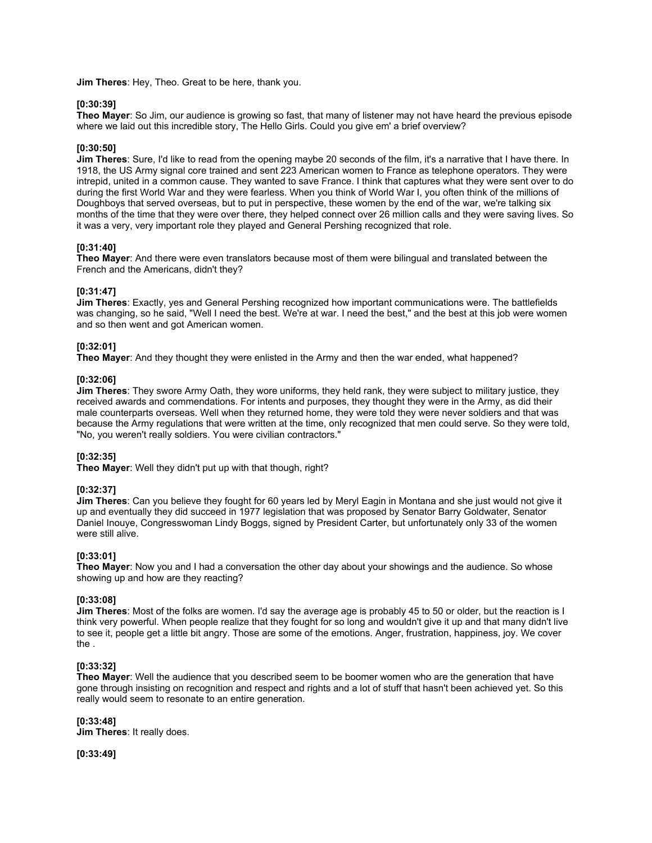**Jim Theres**: Hey, Theo. Great to be here, thank you.

### **[0:30:39]**

**Theo Mayer**: So Jim, our audience is growing so fast, that many of listener may not have heard the previous episode where we laid out this incredible story, The Hello Girls. Could you give em' a brief overview?

### **[0:30:50]**

**Jim Theres**: Sure, I'd like to read from the opening maybe 20 seconds of the film, it's a narrative that I have there. In 1918, the US Army signal core trained and sent 223 American women to France as telephone operators. They were intrepid, united in a common cause. They wanted to save France. I think that captures what they were sent over to do during the first World War and they were fearless. When you think of World War I, you often think of the millions of Doughboys that served overseas, but to put in perspective, these women by the end of the war, we're talking six months of the time that they were over there, they helped connect over 26 million calls and they were saving lives. So it was a very, very important role they played and General Pershing recognized that role.

### **[0:31:40]**

**Theo Mayer**: And there were even translators because most of them were bilingual and translated between the French and the Americans, didn't they?

### **[0:31:47]**

**Jim Theres**: Exactly, yes and General Pershing recognized how important communications were. The battlefields was changing, so he said, "Well I need the best. We're at war. I need the best," and the best at this job were women and so then went and got American women.

### **[0:32:01]**

**Theo Mayer**: And they thought they were enlisted in the Army and then the war ended, what happened?

### **[0:32:06]**

**Jim Theres**: They swore Army Oath, they wore uniforms, they held rank, they were subject to military justice, they received awards and commendations. For intents and purposes, they thought they were in the Army, as did their male counterparts overseas. Well when they returned home, they were told they were never soldiers and that was because the Army regulations that were written at the time, only recognized that men could serve. So they were told, "No, you weren't really soldiers. You were civilian contractors."

### **[0:32:35]**

**Theo Mayer**: Well they didn't put up with that though, right?

### **[0:32:37]**

**Jim Theres**: Can you believe they fought for 60 years led by Meryl Eagin in Montana and she just would not give it up and eventually they did succeed in 1977 legislation that was proposed by Senator Barry Goldwater, Senator Daniel Inouye, Congresswoman Lindy Boggs, signed by President Carter, but unfortunately only 33 of the women were still alive.

## **[0:33:01]**

**Theo Mayer**: Now you and I had a conversation the other day about your showings and the audience. So whose showing up and how are they reacting?

## **[0:33:08]**

**Jim Theres**: Most of the folks are women. I'd say the average age is probably 45 to 50 or older, but the reaction is I think very powerful. When people realize that they fought for so long and wouldn't give it up and that many didn't live to see it, people get a little bit angry. Those are some of the emotions. Anger, frustration, happiness, joy. We cover the .

### **[0:33:32]**

**Theo Mayer**: Well the audience that you described seem to be boomer women who are the generation that have gone through insisting on recognition and respect and rights and a lot of stuff that hasn't been achieved yet. So this really would seem to resonate to an entire generation.

## **[0:33:48]**

**Jim Theres**: It really does.

**[0:33:49]**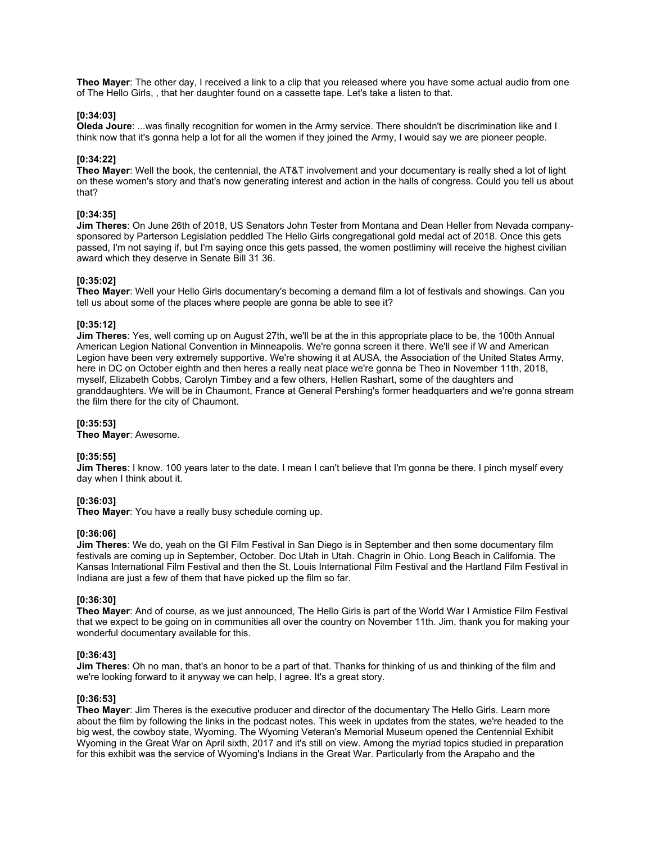**Theo Mayer**: The other day, I received a link to a clip that you released where you have some actual audio from one of The Hello Girls, , that her daughter found on a cassette tape. Let's take a listen to that.

#### **[0:34:03]**

**Oleda Joure**: ...was finally recognition for women in the Army service. There shouldn't be discrimination like and I think now that it's gonna help a lot for all the women if they joined the Army, I would say we are pioneer people.

### **[0:34:22]**

**Theo Mayer**: Well the book, the centennial, the AT&T involvement and your documentary is really shed a lot of light on these women's story and that's now generating interest and action in the halls of congress. Could you tell us about that?

### **[0:34:35]**

**Jim Theres**: On June 26th of 2018, US Senators John Tester from Montana and Dean Heller from Nevada companysponsored by Parterson Legislation peddled The Hello Girls congregational gold medal act of 2018. Once this gets passed, I'm not saying if, but I'm saying once this gets passed, the women postliminy will receive the highest civilian award which they deserve in Senate Bill 31 36.

#### **[0:35:02]**

**Theo Mayer**: Well your Hello Girls documentary's becoming a demand film a lot of festivals and showings. Can you tell us about some of the places where people are gonna be able to see it?

### **[0:35:12]**

**Jim Theres**: Yes, well coming up on August 27th, we'll be at the in this appropriate place to be, the 100th Annual American Legion National Convention in Minneapolis. We're gonna screen it there. We'll see if W and American Legion have been very extremely supportive. We're showing it at AUSA, the Association of the United States Army, here in DC on October eighth and then heres a really neat place we're gonna be Theo in November 11th, 2018, myself, Elizabeth Cobbs, Carolyn Timbey and a few others, Hellen Rashart, some of the daughters and granddaughters. We will be in Chaumont, France at General Pershing's former headquarters and we're gonna stream the film there for the city of Chaumont.

#### **[0:35:53]**

**Theo Mayer**: Awesome.

### **[0:35:55]**

**Jim Theres**: I know. 100 years later to the date. I mean I can't believe that I'm gonna be there. I pinch myself every day when I think about it.

# **[0:36:03]**

**Theo Mayer**: You have a really busy schedule coming up.

### **[0:36:06]**

**Jim Theres**: We do, yeah on the GI Film Festival in San Diego is in September and then some documentary film festivals are coming up in September, October. Doc Utah in Utah. Chagrin in Ohio. Long Beach in California. The Kansas International Film Festival and then the St. Louis International Film Festival and the Hartland Film Festival in Indiana are just a few of them that have picked up the film so far.

### **[0:36:30]**

**Theo Mayer**: And of course, as we just announced, The Hello Girls is part of the World War I Armistice Film Festival that we expect to be going on in communities all over the country on November 11th. Jim, thank you for making your wonderful documentary available for this.

#### **[0:36:43]**

**Jim Theres**: Oh no man, that's an honor to be a part of that. Thanks for thinking of us and thinking of the film and we're looking forward to it anyway we can help, I agree. It's a great story.

#### **[0:36:53]**

**Theo Mayer**: Jim Theres is the executive producer and director of the documentary The Hello Girls. Learn more about the film by following the links in the podcast notes. This week in updates from the states, we're headed to the big west, the cowboy state, Wyoming. The Wyoming Veteran's Memorial Museum opened the Centennial Exhibit Wyoming in the Great War on April sixth, 2017 and it's still on view. Among the myriad topics studied in preparation for this exhibit was the service of Wyoming's Indians in the Great War. Particularly from the Arapaho and the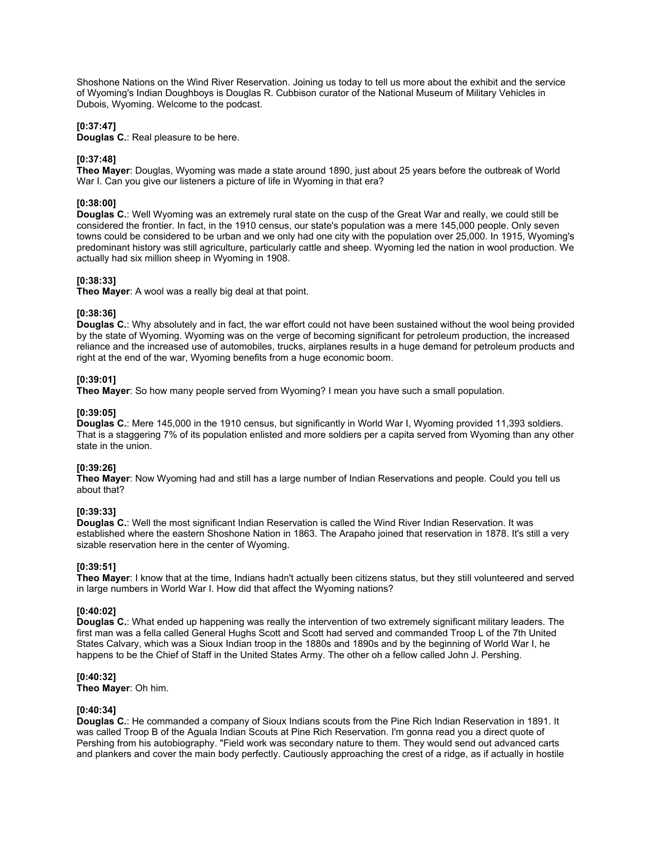Shoshone Nations on the Wind River Reservation. Joining us today to tell us more about the exhibit and the service of Wyoming's Indian Doughboys is Douglas R. Cubbison curator of the National Museum of Military Vehicles in Dubois, Wyoming. Welcome to the podcast.

## **[0:37:47]**

**Douglas C.**: Real pleasure to be here.

## **[0:37:48]**

**Theo Mayer**: Douglas, Wyoming was made a state around 1890, just about 25 years before the outbreak of World War I. Can you give our listeners a picture of life in Wyoming in that era?

## **[0:38:00]**

**Douglas C.**: Well Wyoming was an extremely rural state on the cusp of the Great War and really, we could still be considered the frontier. In fact, in the 1910 census, our state's population was a mere 145,000 people. Only seven towns could be considered to be urban and we only had one city with the population over 25,000. In 1915, Wyoming's predominant history was still agriculture, particularly cattle and sheep. Wyoming led the nation in wool production. We actually had six million sheep in Wyoming in 1908.

### **[0:38:33]**

**Theo Mayer**: A wool was a really big deal at that point.

### **[0:38:36]**

**Douglas C.**: Why absolutely and in fact, the war effort could not have been sustained without the wool being provided by the state of Wyoming. Wyoming was on the verge of becoming significant for petroleum production, the increased reliance and the increased use of automobiles, trucks, airplanes results in a huge demand for petroleum products and right at the end of the war, Wyoming benefits from a huge economic boom.

### **[0:39:01]**

**Theo Mayer**: So how many people served from Wyoming? I mean you have such a small population.

### **[0:39:05]**

**Douglas C.**: Mere 145,000 in the 1910 census, but significantly in World War I, Wyoming provided 11,393 soldiers. That is a staggering 7% of its population enlisted and more soldiers per a capita served from Wyoming than any other state in the union.

### **[0:39:26]**

**Theo Mayer**: Now Wyoming had and still has a large number of Indian Reservations and people. Could you tell us about that?

## **[0:39:33]**

**Douglas C.**: Well the most significant Indian Reservation is called the Wind River Indian Reservation. It was established where the eastern Shoshone Nation in 1863. The Arapaho joined that reservation in 1878. It's still a very sizable reservation here in the center of Wyoming.

## **[0:39:51]**

**Theo Mayer**: I know that at the time, Indians hadn't actually been citizens status, but they still volunteered and served in large numbers in World War I. How did that affect the Wyoming nations?

### **[0:40:02]**

**Douglas C.**: What ended up happening was really the intervention of two extremely significant military leaders. The first man was a fella called General Hughs Scott and Scott had served and commanded Troop L of the 7th United States Calvary, which was a Sioux Indian troop in the 1880s and 1890s and by the beginning of World War I, he happens to be the Chief of Staff in the United States Army. The other oh a fellow called John J. Pershing.

### **[0:40:32]**

**Theo Mayer**: Oh him.

## **[0:40:34]**

**Douglas C.**: He commanded a company of Sioux Indians scouts from the Pine Rich Indian Reservation in 1891. It was called Troop B of the Aguala Indian Scouts at Pine Rich Reservation. I'm gonna read you a direct quote of Pershing from his autobiography. "Field work was secondary nature to them. They would send out advanced carts and plankers and cover the main body perfectly. Cautiously approaching the crest of a ridge, as if actually in hostile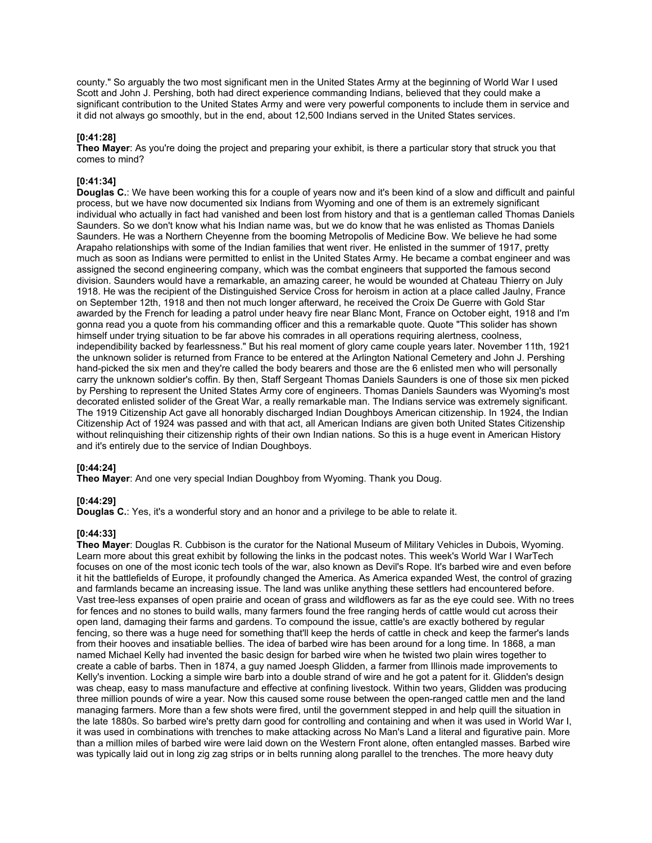county." So arguably the two most significant men in the United States Army at the beginning of World War I used Scott and John J. Pershing, both had direct experience commanding Indians, believed that they could make a significant contribution to the United States Army and were very powerful components to include them in service and it did not always go smoothly, but in the end, about 12,500 Indians served in the United States services.

### **[0:41:28]**

**Theo Mayer**: As you're doing the project and preparing your exhibit, is there a particular story that struck you that comes to mind?

## **[0:41:34]**

**Douglas C.**: We have been working this for a couple of years now and it's been kind of a slow and difficult and painful process, but we have now documented six Indians from Wyoming and one of them is an extremely significant individual who actually in fact had vanished and been lost from history and that is a gentleman called Thomas Daniels Saunders. So we don't know what his Indian name was, but we do know that he was enlisted as Thomas Daniels Saunders. He was a Northern Cheyenne from the booming Metropolis of Medicine Bow. We believe he had some Arapaho relationships with some of the Indian families that went river. He enlisted in the summer of 1917, pretty much as soon as Indians were permitted to enlist in the United States Army. He became a combat engineer and was assigned the second engineering company, which was the combat engineers that supported the famous second division. Saunders would have a remarkable, an amazing career, he would be wounded at Chateau Thierry on July 1918. He was the recipient of the Distinguished Service Cross for heroism in action at a place called Jaulny, France on September 12th, 1918 and then not much longer afterward, he received the Croix De Guerre with Gold Star awarded by the French for leading a patrol under heavy fire near Blanc Mont, France on October eight, 1918 and I'm gonna read you a quote from his commanding officer and this a remarkable quote. Quote "This solider has shown himself under trying situation to be far above his comrades in all operations requiring alertness, coolness, independibility backed by fearlessness." But his real moment of glory came couple years later. November 11th, 1921 the unknown solider is returned from France to be entered at the Arlington National Cemetery and John J. Pershing hand-picked the six men and they're called the body bearers and those are the 6 enlisted men who will personally carry the unknown soldier's coffin. By then, Staff Sergeant Thomas Daniels Saunders is one of those six men picked by Pershing to represent the United States Army core of engineers. Thomas Daniels Saunders was Wyoming's most decorated enlisted solider of the Great War, a really remarkable man. The Indians service was extremely significant. The 1919 Citizenship Act gave all honorably discharged Indian Doughboys American citizenship. In 1924, the Indian Citizenship Act of 1924 was passed and with that act, all American Indians are given both United States Citizenship without relinquishing their citizenship rights of their own Indian nations. So this is a huge event in American History and it's entirely due to the service of Indian Doughboys.

### **[0:44:24]**

**Theo Mayer**: And one very special Indian Doughboy from Wyoming. Thank you Doug.

### **[0:44:29]**

**Douglas C.:** Yes, it's a wonderful story and an honor and a privilege to be able to relate it.

## **[0:44:33]**

**Theo Mayer**: Douglas R. Cubbison is the curator for the National Museum of Military Vehicles in Dubois, Wyoming. Learn more about this great exhibit by following the links in the podcast notes. This week's World War I WarTech focuses on one of the most iconic tech tools of the war, also known as Devil's Rope. It's barbed wire and even before it hit the battlefields of Europe, it profoundly changed the America. As America expanded West, the control of grazing and farmlands became an increasing issue. The land was unlike anything these settlers had encountered before. Vast tree-less expanses of open prairie and ocean of grass and wildflowers as far as the eye could see. With no trees for fences and no stones to build walls, many farmers found the free ranging herds of cattle would cut across their open land, damaging their farms and gardens. To compound the issue, cattle's are exactly bothered by regular fencing, so there was a huge need for something that'll keep the herds of cattle in check and keep the farmer's lands from their hooves and insatiable bellies. The idea of barbed wire has been around for a long time. In 1868, a man named Michael Kelly had invented the basic design for barbed wire when he twisted two plain wires together to create a cable of barbs. Then in 1874, a guy named Joesph Glidden, a farmer from Illinois made improvements to Kelly's invention. Locking a simple wire barb into a double strand of wire and he got a patent for it. Glidden's design was cheap, easy to mass manufacture and effective at confining livestock. Within two years, Glidden was producing three million pounds of wire a year. Now this caused some rouse between the open-ranged cattle men and the land managing farmers. More than a few shots were fired, until the government stepped in and help quill the situation in the late 1880s. So barbed wire's pretty darn good for controlling and containing and when it was used in World War I, it was used in combinations with trenches to make attacking across No Man's Land a literal and figurative pain. More than a million miles of barbed wire were laid down on the Western Front alone, often entangled masses. Barbed wire was typically laid out in long zig zag strips or in belts running along parallel to the trenches. The more heavy duty